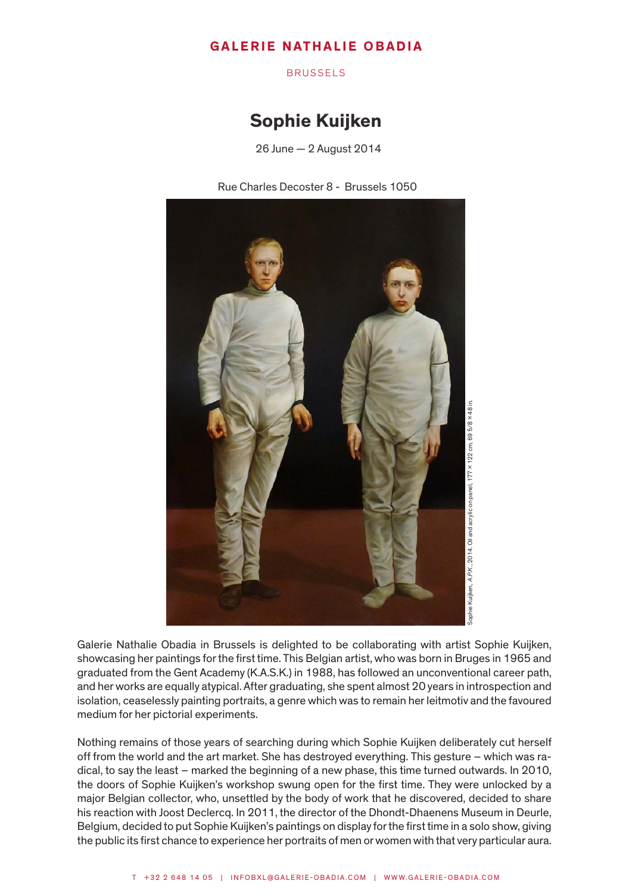BRUSSELS

# Sophie Kuijken

26 June — 2 August 2014

Rue Charles Decoster 8 - Brussels 1050



Galerie Nathalie Obadia in Brussels is delighted to be collaborating with artist Sophie Kuijken, showcasing her paintings for the first time. This Belgian artist, who was born in Bruges in 1965 and graduated from the Gent Academy (K.A.S.K.) in 1988, has followed an unconventional career path, and her works are equally atypical. After graduating, she spent almost 20 years in introspection and isolation, ceaselessly painting portraits, a genre which was to remain her leitmotiv and the favoured medium for her pictorial experiments.

Nothing remains of those years of searching during which Sophie Kuijken deliberately cut herself off from the world and the art market. She has destroyed everything. This gesture – which was radical, to say the least – marked the beginning of a new phase, this time turned outwards. In 2010, the doors of Sophie Kuijken's workshop swung open for the first time. They were unlocked by a major Belgian collector, who, unsettled by the body of work that he discovered, decided to share his reaction with Joost Declercq. In 2011, the director of the Dhondt-Dhaenens Museum in Deurle, Belgium, decided to put Sophie Kuijken's paintings on display for the first time in a solo show, giving the public its first chance to experience her portraits of men or women with that very particular aura.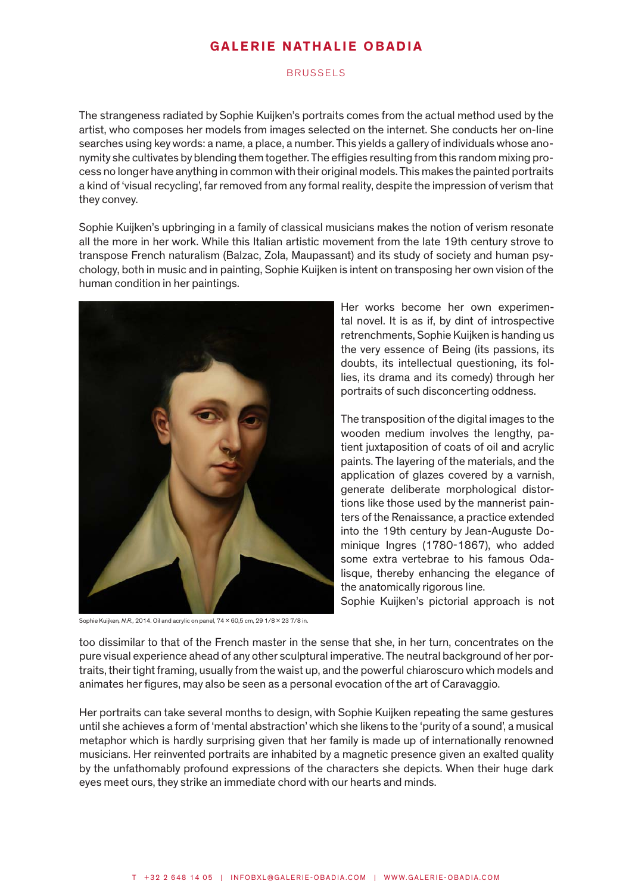### BRUSSELS

The strangeness radiated by Sophie Kuijken's portraits comes from the actual method used by the artist, who composes her models from images selected on the internet. She conducts her on-line searches using key words: a name, a place, a number. This yields a gallery of individuals whose anonymity she cultivates by blending them together. The effigies resulting from this random mixing process no longer have anything in common with their original models. This makes the painted portraits a kind of 'visual recycling', far removed from any formal reality, despite the impression of verism that they convey.

Sophie Kuijken's upbringing in a family of classical musicians makes the notion of verism resonate all the more in her work. While this Italian artistic movement from the late 19th century strove to transpose French naturalism (Balzac, Zola, Maupassant) and its study of society and human psychology, both in music and in painting, Sophie Kuijken is intent on transposing her own vision of the human condition in her paintings.



Sophie Kuijken, *N.R.*, 2014. Oil and acrylic on panel,  $74 \times 60,5$  cm, 29 1/8  $\times$  23 7/8 in.

Her works become her own experimental novel. It is as if, by dint of introspective retrenchments, Sophie Kuijken is handing us the very essence of Being (its passions, its doubts, its intellectual questioning, its follies, its drama and its comedy) through her portraits of such disconcerting oddness.

The transposition of the digital images to the wooden medium involves the lengthy, patient juxtaposition of coats of oil and acrylic paints. The layering of the materials, and the application of glazes covered by a varnish, generate deliberate morphological distortions like those used by the mannerist painters of the Renaissance, a practice extended into the 19th century by Jean-Auguste Dominique Ingres (1780-1867), who added some extra vertebrae to his famous Odalisque, thereby enhancing the elegance of the anatomically rigorous line.

Sophie Kuijken's pictorial approach is not

too dissimilar to that of the French master in the sense that she, in her turn, concentrates on the pure visual experience ahead of any other sculptural imperative. The neutral background of her portraits, their tight framing, usually from the waist up, and the powerful chiaroscuro which models and animates her figures, may also be seen as a personal evocation of the art of Caravaggio.

Her portraits can take several months to design, with Sophie Kuijken repeating the same gestures until she achieves a form of 'mental abstraction' which she likens to the 'purity of a sound', a musical metaphor which is hardly surprising given that her family is made up of internationally renowned musicians. Her reinvented portraits are inhabited by a magnetic presence given an exalted quality by the unfathomably profound expressions of the characters she depicts. When their huge dark eyes meet ours, they strike an immediate chord with our hearts and minds.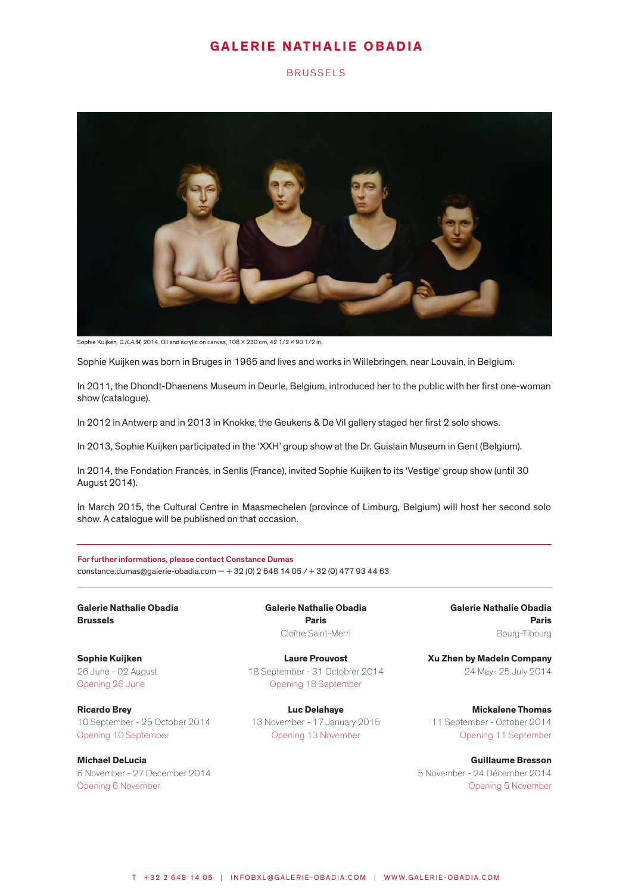#### BRUSSELS



Sophie Kuijken, G.K.A.M, 2014. Oil and acrylic on canvas, 108 × 230 cm, 42 1/2 × 90 1/2 in.

Sophie Kuijken was born in Bruges in 1965 and lives and works in Willebringen, near Louvain, in Belgium.

In 2011, the Dhondt-Dhaenens Museum in Deurle, Belgium, introduced her to the public with her first one-woman show (catalogue).

In 2012 in Antwerp and in 2013 in Knokke, the Geukens & De Vil gallery staged her first 2 solo shows.

In 2013, Sophie Kuijken participated in the 'XXH' group show at the Dr. Guislain Museum in Gent (Belgium).

In 2014, the Fondation Francès, in Senlis (France), invited Sophie Kuijken to its 'Vestige' group show (until 30 August 2014).

In March 2015, the Cultural Centre in Maasmechelen (province of Limburg, Belgium) will host her second solo show. A catalogue will be published on that occasion.

For further informations, please contact Constance Dumas constance.dumas@galerie-obadia.com - + 32 (0) 2 648 14 05 / + 32 (0) 477 93 44 63

Galerie Nathalie Obadia Brussels

Sophie Kuijken 26 June - 02 August Opening 26 June

Ricardo Brey 10 September - 25 October 2014 Opening 10 September

Michael DeLucia 6 November - 27 December 2014 Opening 6 November

Galerie Nathalie Obadia Paris Cloître Saint-Merri

Laure Prouvost 18 September - 31 Octobrer 2014 Opening 18 September

Luc Delahaye 13 November - 17 January 2015 Opening 13 November

Galerie Nathalie Obadia Paris Bourg-Tibourg

Xu Zhen by MadeIn Company 24 May- 25 July 2014

Mickalene Thomas 11 September - October 2014 Opening 11 September

Guillaume Bresson 5 November - 24 Décember 2014 Opening 5 November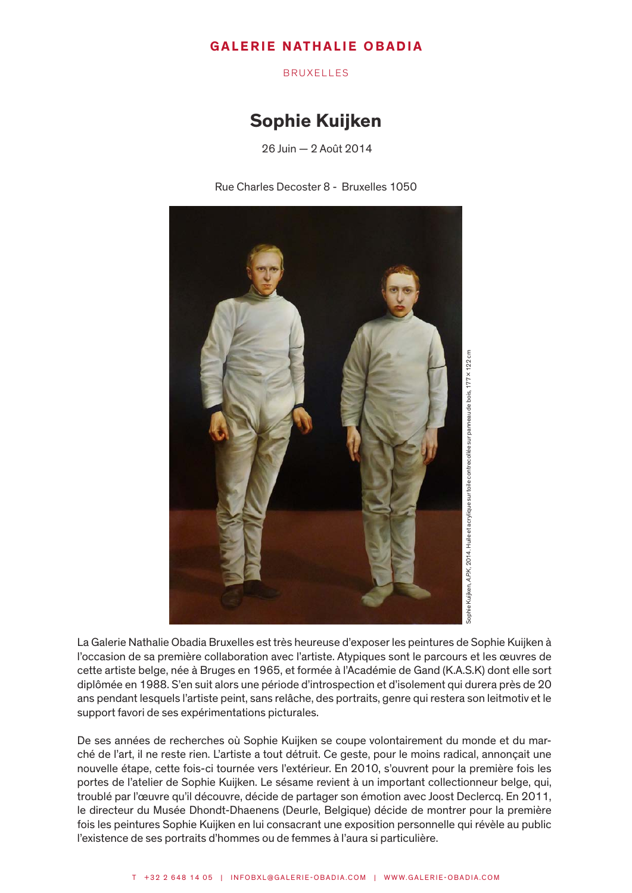BRUXELLES

# Sophie Kuijken

26 Juin — 2 Août 2014

Rue Charles Decoster 8 - Bruxelles 1050



La Galerie Nathalie Obadia Bruxelles est très heureuse d'exposer les peintures de Sophie Kuijken à l'occasion de sa première collaboration avec l'artiste. Atypiques sont le parcours et les œuvres de cette artiste belge, née à Bruges en 1965, et formée à l'Académie de Gand (K.A.S.K) dont elle sort diplômée en 1988. S'en suit alors une période d'introspection et d'isolement qui durera près de 20 ans pendant lesquels l'artiste peint, sans relâche, des portraits, genre qui restera son leitmotiv et le support favori de ses expérimentations picturales.

De ses années de recherches où Sophie Kuijken se coupe volontairement du monde et du marché de l'art, il ne reste rien. L'artiste a tout détruit. Ce geste, pour le moins radical, annonçait une nouvelle étape, cette fois-ci tournée vers l'extérieur. En 2010, s'ouvrent pour la première fois les portes de l'atelier de Sophie Kuijken. Le sésame revient à un important collectionneur belge, qui, troublé par l'œuvre qu'il découvre, décide de partager son émotion avec Joost Declercq. En 2011, le directeur du Musée Dhondt-Dhaenens (Deurle, Belgique) décide de montrer pour la première fois les peintures Sophie Kuijken en lui consacrant une exposition personnelle qui révèle au public l'existence de ses portraits d'hommes ou de femmes à l'aura si particulière.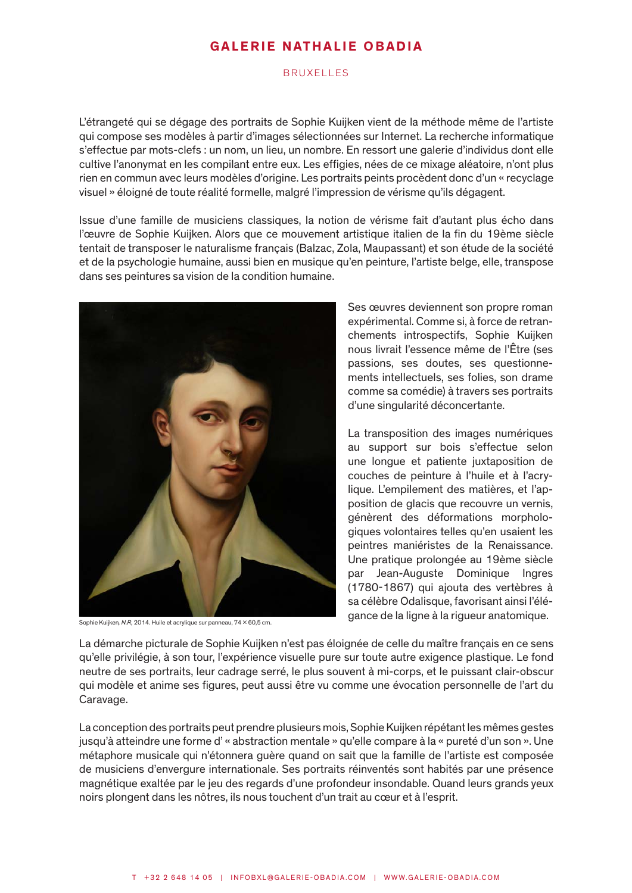#### BRUXELLES

L'étrangeté qui se dégage des portraits de Sophie Kuijken vient de la méthode même de l'artiste qui compose ses modèles à partir d'images sélectionnées sur Internet. La recherche informatique s'effectue par mots-clefs : un nom, un lieu, un nombre. En ressort une galerie d'individus dont elle cultive l'anonymat en les compilant entre eux. Les effigies, nées de ce mixage aléatoire, n'ont plus rien en commun avec leurs modèles d'origine. Les portraits peints procèdent donc d'un « recyclage visuel » éloigné de toute réalité formelle, malgré l'impression de vérisme qu'ils dégagent.

Issue d'une famille de musiciens classiques, la notion de vérisme fait d'autant plus écho dans l'œuvre de Sophie Kuijken. Alors que ce mouvement artistique italien de la fin du 19ème siècle tentait de transposer le naturalisme français (Balzac, Zola, Maupassant) et son étude de la société et de la psychologie humaine, aussi bien en musique qu'en peinture, l'artiste belge, elle, transpose dans ses peintures sa vision de la condition humaine.



Sophie Kuijken, N.R, 2014. Huile et acrylique sur panneau, 74 × 60,5 cm.

Ses œuvres deviennent son propre roman expérimental. Comme si, à force de retranchements introspectifs, Sophie Kuijken nous livrait l'essence même de l'Être (ses passions, ses doutes, ses questionnements intellectuels, ses folies, son drame comme sa comédie) à travers ses portraits d'une singularité déconcertante.

La transposition des images numériques au support sur bois s'effectue selon une longue et patiente juxtaposition de couches de peinture à l'huile et à l'acrylique. L'empilement des matières, et l'apposition de glacis que recouvre un vernis, génèrent des déformations morphologiques volontaires telles qu'en usaient les peintres maniéristes de la Renaissance. Une pratique prolongée au 19ème siècle par Jean-Auguste Dominique Ingres (1780-1867) qui ajouta des vertèbres à sa célèbre Odalisque, favorisant ainsi l'élégance de la ligne à la rigueur anatomique.

La démarche picturale de Sophie Kuijken n'est pas éloignée de celle du maître français en ce sens qu'elle privilégie, à son tour, l'expérience visuelle pure sur toute autre exigence plastique. Le fond neutre de ses portraits, leur cadrage serré, le plus souvent à mi-corps, et le puissant clair-obscur qui modèle et anime ses figures, peut aussi être vu comme une évocation personnelle de l'art du Caravage.

La conception des portraits peut prendre plusieurs mois, Sophie Kuijken répétant les mêmes gestes jusqu'à atteindre une forme d' « abstraction mentale » qu'elle compare à la « pureté d'un son ». Une métaphore musicale qui n'étonnera guère quand on sait que la famille de l'artiste est composée de musiciens d'envergure internationale. Ses portraits réinventés sont habités par une présence magnétique exaltée par le jeu des regards d'une profondeur insondable. Quand leurs grands yeux noirs plongent dans les nôtres, ils nous touchent d'un trait au cœur et à l'esprit.